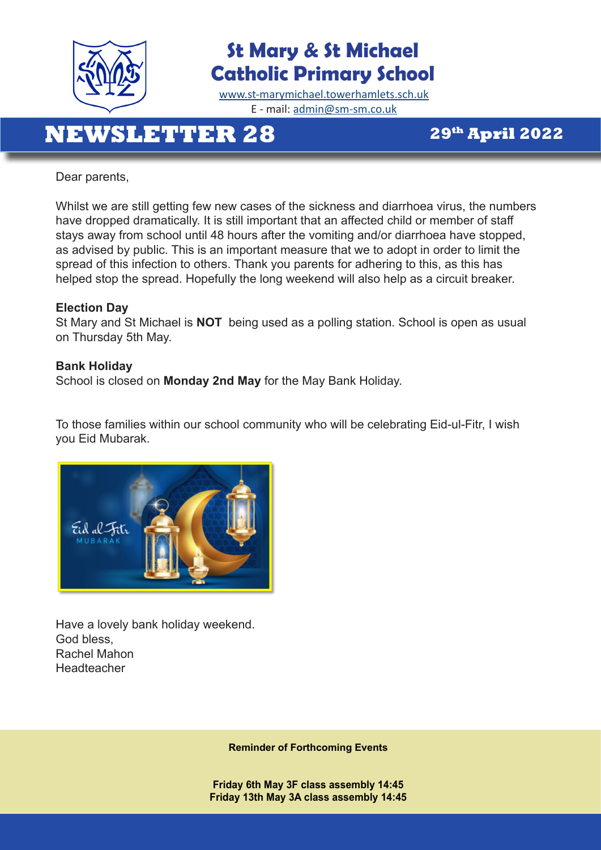

# **St Mary & St Michael Catholic Primary School**

[www.st-marymichael.towerhamlets.sch.uk](http://www.st-marymichael.towerhamlets.sch.uk)  E - mail: [admin@sm-sm.co.uk](http://admin@sm-sm.co.uk)

# **NEWSLETTER 28** 29th April 2022

Dear parents,

Whilst we are still getting few new cases of the sickness and diarrhoea virus, the numbers have dropped dramatically. It is still important that an affected child or member of staff stays away from school until 48 hours after the vomiting and/or diarrhoea have stopped, as advised by public. This is an important measure that we to adopt in order to limit the spread of this infection to others. Thank you parents for adhering to this, as this has helped stop the spread. Hopefully the long weekend will also help as a circuit breaker.

#### **Election Day**

St Mary and St Michael is **NOT** being used as a polling station. School is open as usual on Thursday 5th May.

#### **Bank Holiday**

School is closed on **Monday 2nd May** for the May Bank Holiday.

To those families within our school community who will be celebrating Eid-ul-Fitr, I wish you Eid Mubarak.



Have a lovely bank holiday weekend. God bless, Rachel Mahon Headteacher

**Reminder of Forthcoming Events** 

**Friday 6th May 3F class assembly 14:45 Friday 13th May 3A class assembly 14:45**